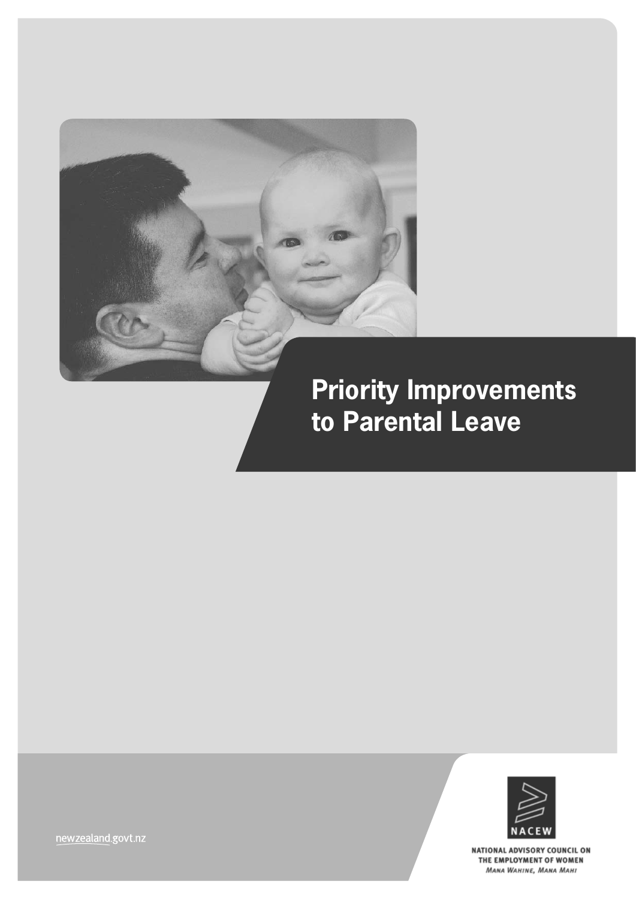

# **Priority Improvements to Parental Leave**



NATIONAL ADVISORY COUNCIL ON THE EMPLOYMENT OF WOMEN MANA WAHINE, MANA MAHI

newzealand.govt.nz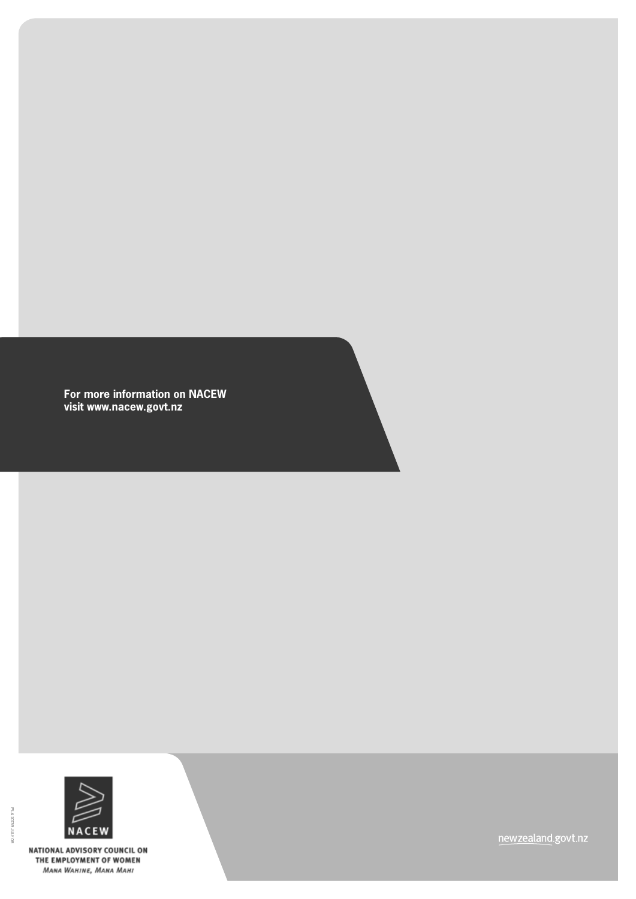**For more information on NACEW visit www.nacew.govt.nz** 



NATIONAL ADVISORY COUNCIL ON THE EMPLOYMENT OF WOMEN MANA WAHINE, MANA MAHI

newzealand.govt.nz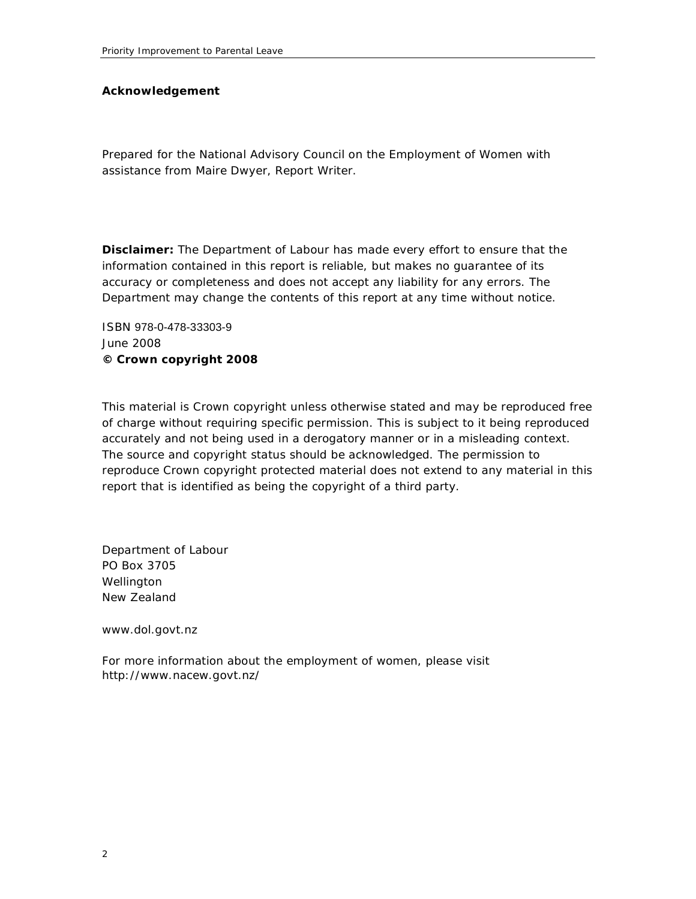#### **Acknowledgement**

Prepared for the National Advisory Council on the Employment of Women with assistance from Maire Dwyer, Report Writer.

**Disclaimer:** The Department of Labour has made every effort to ensure that the information contained in this report is reliable, but makes no guarantee of its accuracy or completeness and does not accept any liability for any errors. The Department may change the contents of this report at any time without notice.

ISBN 978-0-478-33303-9 June 2008 **© Crown copyright 2008** 

This material is Crown copyright unless otherwise stated and may be reproduced free of charge without requiring specific permission. This is subject to it being reproduced accurately and not being used in a derogatory manner or in a misleading context. The source and copyright status should be acknowledged. The permission to reproduce Crown copyright protected material does not extend to any material in this report that is identified as being the copyright of a third party.

Department of Labour PO Box 3705 Wellington New Zealand

www.dol.govt.nz

For more information about the employment of women, please visit http://www.nacew.govt.nz/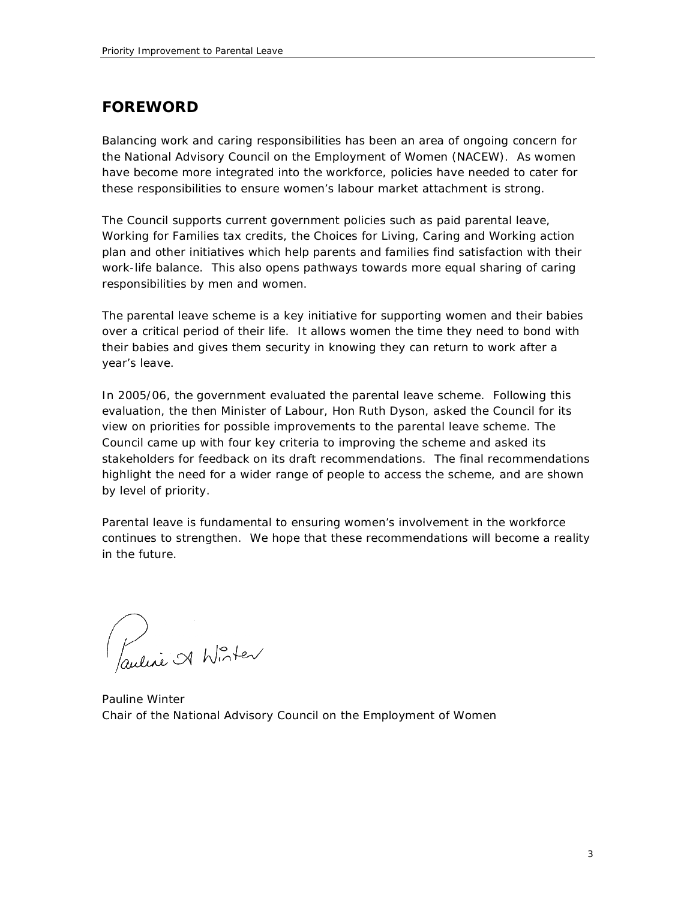### **FOREWORD**

Balancing work and caring responsibilities has been an area of ongoing concern for the National Advisory Council on the Employment of Women (NACEW). As women have become more integrated into the workforce, policies have needed to cater for these responsibilities to ensure women's labour market attachment is strong.

The Council supports current government policies such as paid parental leave, *Working for Families* tax credits, the *Choices for Living, Caring and Working* action plan and other initiatives which help parents and families find satisfaction with their work-life balance. This also opens pathways towards more equal sharing of caring responsibilities by men and women.

The parental leave scheme is a key initiative for supporting women and their babies over a critical period of their life. It allows women the time they need to bond with their babies and gives them security in knowing they can return to work after a year's leave.

In 2005/06, the government evaluated the parental leave scheme. Following this evaluation, the then Minister of Labour, Hon Ruth Dyson, asked the Council for its view on priorities for possible improvements to the parental leave scheme. The Council came up with four key criteria to improving the scheme and asked its stakeholders for feedback on its draft recommendations. The final recommendations highlight the need for a wider range of people to access the scheme, and are shown by level of priority.

Parental leave is fundamental to ensuring women's involvement in the workforce continues to strengthen. We hope that these recommendations will become a reality in the future.

Pauline A Winter

Pauline Winter Chair of the National Advisory Council on the Employment of Women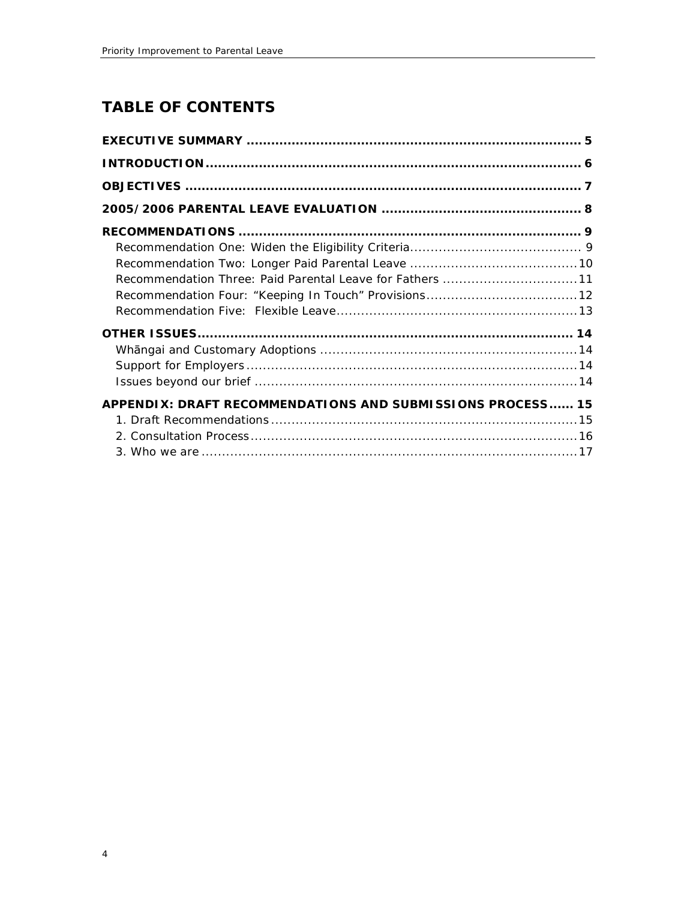# **TABLE OF CONTENTS**

| Recommendation Three: Paid Parental Leave for Fathers 11   |
|------------------------------------------------------------|
|                                                            |
|                                                            |
|                                                            |
|                                                            |
|                                                            |
|                                                            |
| APPENDIX: DRAFT RECOMMENDATIONS AND SUBMISSIONS PROCESS 15 |
|                                                            |
|                                                            |
|                                                            |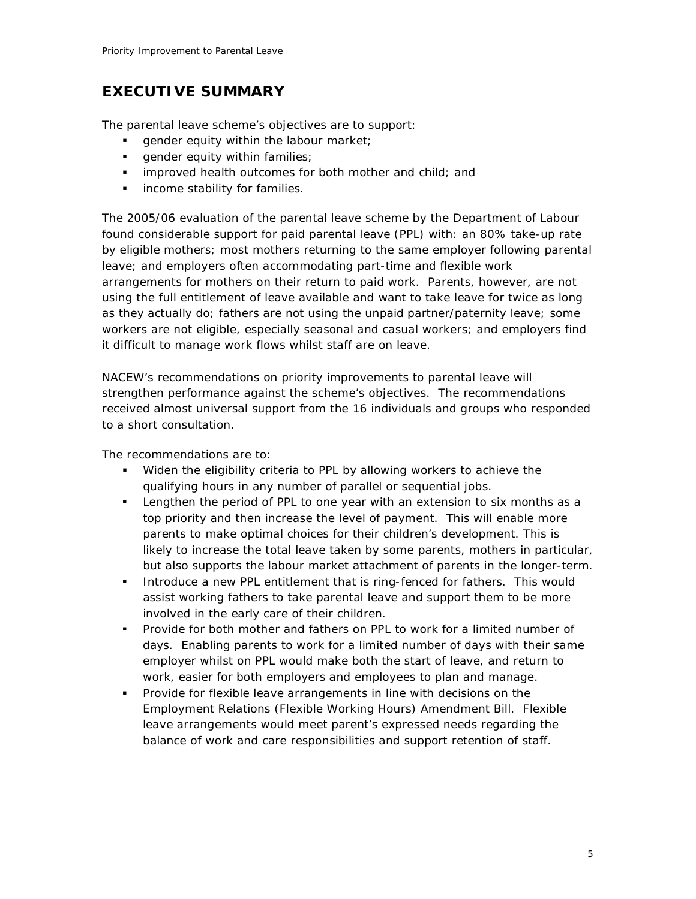## **EXECUTIVE SUMMARY**

The parental leave scheme's objectives are to support:

- qender equity within the labour market;
- **qender equity within families;**
- **I** improved health outcomes for both mother and child; and
- **·** income stability for families.

The 2005/06 evaluation of the parental leave scheme by the Department of Labour found considerable support for paid parental leave (PPL) with: an 80% take-up rate by eligible mothers; most mothers returning to the same employer following parental leave; and employers often accommodating part-time and flexible work arrangements for mothers on their return to paid work. Parents, however, are not using the full entitlement of leave available and want to take leave for twice as long as they actually do; fathers are not using the unpaid partner/paternity leave; some workers are not eligible, especially seasonal and casual workers; and employers find it difficult to manage work flows whilst staff are on leave.

NACEW's recommendations on priority improvements to parental leave will strengthen performance against the scheme's objectives. The recommendations received almost universal support from the 16 individuals and groups who responded to a short consultation.

The recommendations are to:

- *Widen the eligibility criteria* to PPL by allowing workers to achieve the qualifying hours in any number of parallel or sequential jobs.
- *Lengthen the period of PPL to one year with an extension to six months as a top priority and then increase the level of payment*. This will enable more parents to make optimal choices for their children's development. This is likely to increase the total leave taken by some parents, mothers in particular, but also supports the labour market attachment of parents in the longer-term.
- *Introduce a new PPL entitlement that is ring-fenced for fathers*. This would assist working fathers to take parental leave and support them to be more involved in the early care of their children.
- *Provide for both mother and fathers on PPL to work for a limited number of days.* Enabling parents to work for a limited number of days with their same employer whilst on PPL would make both the start of leave, and return to work, easier for both employers and employees to plan and manage.
- *Provide for flexible leave arrangements in line with decisions on the Employment Relations (Flexible Working Hours) Amendment Bill.* Flexible leave arrangements would meet parent's expressed needs regarding the balance of work and care responsibilities and support retention of staff.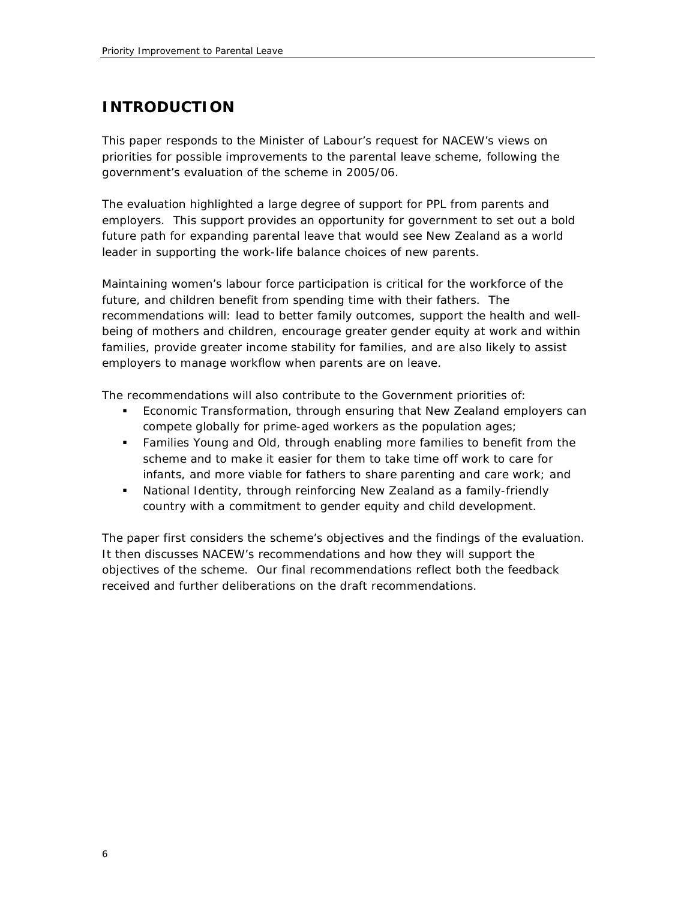## **INTRODUCTION**

This paper responds to the Minister of Labour's request for NACEW's views on priorities for possible improvements to the parental leave scheme, following the government's evaluation of the scheme in 2005/06.

The evaluation highlighted a large degree of support for PPL from parents and employers. This support provides an opportunity for government to set out a bold future path for expanding parental leave that would see New Zealand as a world leader in supporting the work-life balance choices of new parents.

Maintaining women's labour force participation is critical for the workforce of the future, and children benefit from spending time with their fathers. The recommendations will: lead to better family outcomes, support the health and wellbeing of mothers and children, encourage greater gender equity at work and within families, provide greater income stability for families, and are also likely to assist employers to manage workflow when parents are on leave.

The recommendations will also contribute to the Government priorities of:

- *Economic Transformation*, through ensuring that New Zealand employers can compete globally for prime-aged workers as the population ages;
- *Families Young and Old*, through enabling more families to benefit from the scheme and to make it easier for them to take time off work to care for infants, and more viable for fathers to share parenting and care work; and
- *National Identity*, through reinforcing New Zealand as a family-friendly country with a commitment to gender equity and child development.

The paper first considers the scheme's objectives and the findings of the evaluation. It then discusses NACEW's recommendations and how they will support the objectives of the scheme. Our final recommendations reflect both the feedback received and further deliberations on the draft recommendations.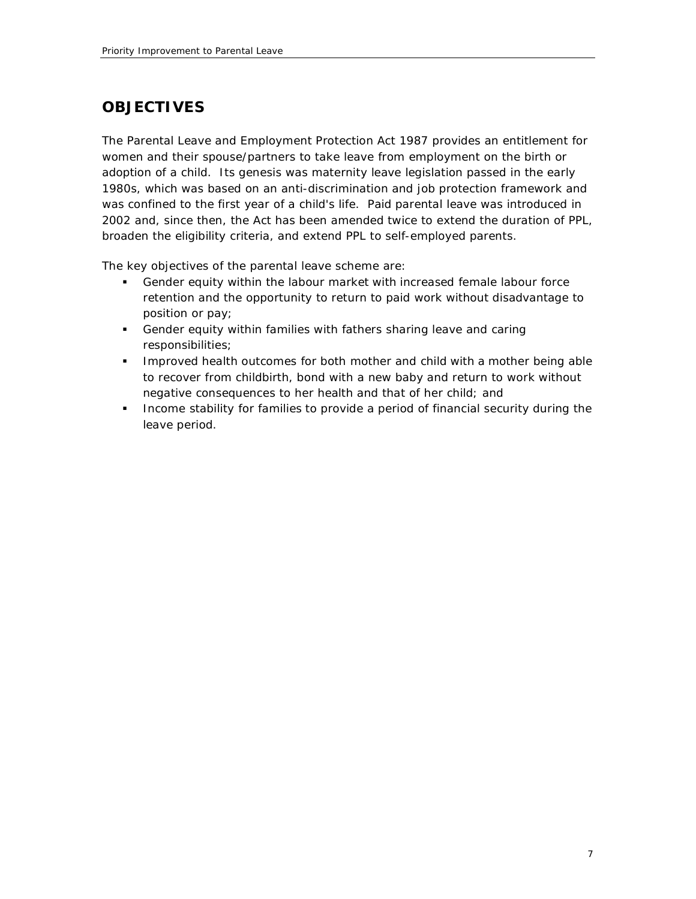# **OBJECTIVES**

The Parental Leave and Employment Protection Act 1987 provides an entitlement for women and their spouse/partners to take leave from employment on the birth or adoption of a child. Its genesis was maternity leave legislation passed in the early 1980s, which was based on an anti-discrimination and job protection framework and was confined to the first year of a child's life. Paid parental leave was introduced in 2002 and, since then, the Act has been amended twice to extend the duration of PPL, broaden the eligibility criteria, and extend PPL to self-employed parents.

The key objectives of the parental leave scheme are:

- *Gender equity within the labour market* with increased female labour force retention and the opportunity to return to paid work without disadvantage to position or pay;
- *Gender equity within families* with fathers sharing leave and caring responsibilities;
- *Improved health outcomes for both mother and child* with a mother being able to recover from childbirth, bond with a new baby and return to work without negative consequences to her health and that of her child; and
- *Income stability for families* to provide a period of financial security during the leave period.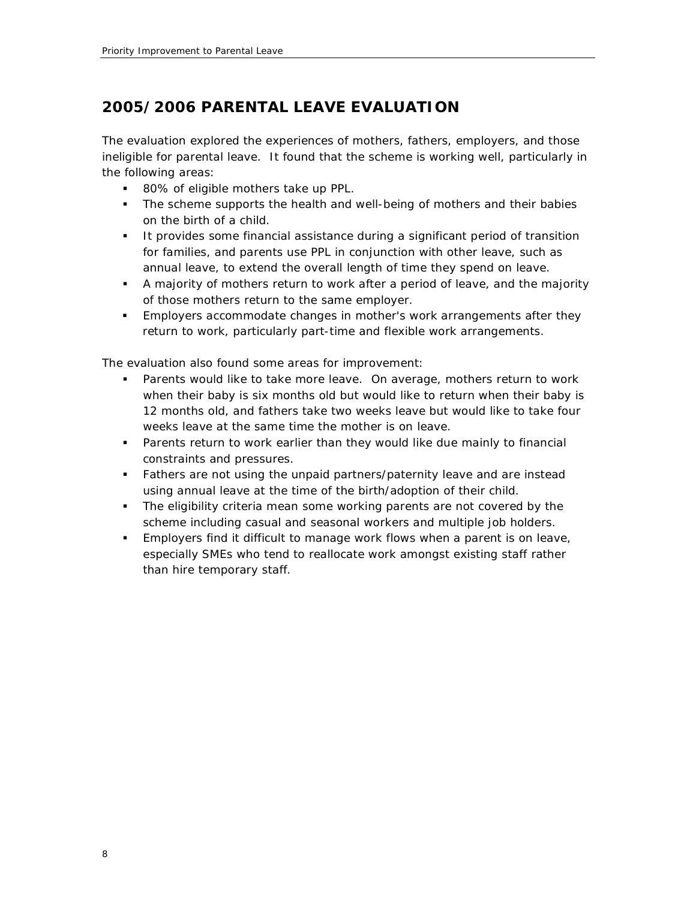# **2005/2006 PARENTAL LEAVE EVALUATION**

The evaluation explored the experiences of mothers, fathers, employers, and those ineligible for parental leave. It found that the scheme is working well, particularly in the following areas:

- 80% of eligible mothers take up PPL.
- **The scheme supports the health and well-being of mothers and their babies** on the birth of a child.
- **If provides some financial assistance during a significant period of transition** for families, and parents use PPL in conjunction with other leave, such as annual leave, to extend the overall length of time they spend on leave.
- A majority of mothers return to work after a period of leave, and the majority of those mothers return to the same employer.
- **Employers accommodate changes in mother's work arrangements after they** return to work, particularly part-time and flexible work arrangements.

The evaluation also found some areas for improvement:

- **Parents would like to take more leave. On average, mothers return to work** when their baby is six months old but would like to return when their baby is 12 months old, and fathers take two weeks leave but would like to take four weeks leave at the same time the mother is on leave.
- Parents return to work earlier than they would like due mainly to financial constraints and pressures.
- Fathers are not using the unpaid partners/paternity leave and are instead using annual leave at the time of the birth/adoption of their child.
- The eligibility criteria mean some working parents are not covered by the scheme including casual and seasonal workers and multiple job holders.
- Employers find it difficult to manage work flows when a parent is on leave, especially SMEs who tend to reallocate work amongst existing staff rather than hire temporary staff.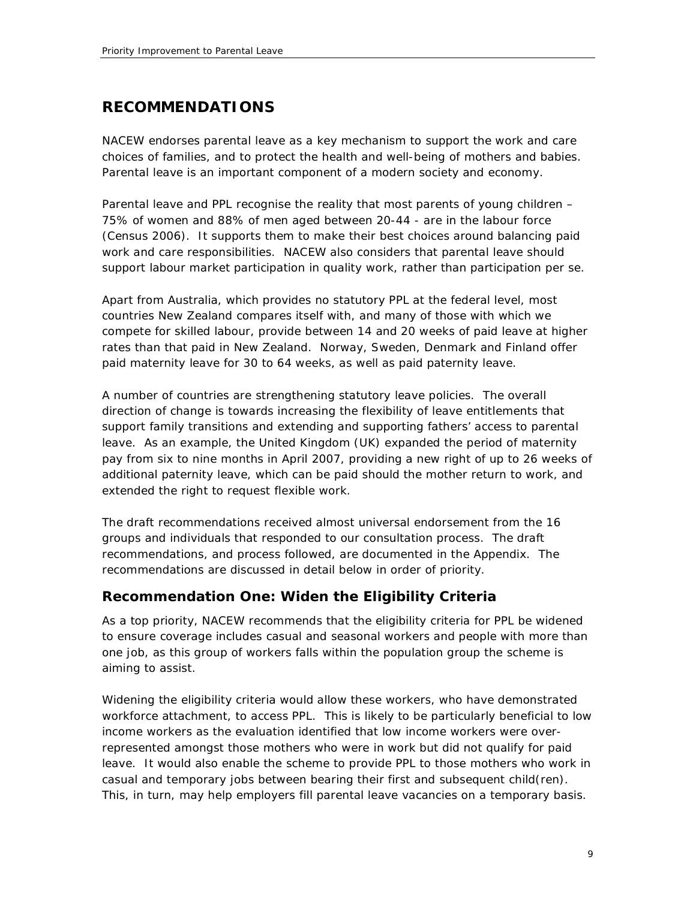### **RECOMMENDATIONS**

NACEW endorses parental leave as a key mechanism to support the work and care choices of families, and to protect the health and well-being of mothers and babies. Parental leave is an important component of a modern society and economy.

Parental leave and PPL recognise the reality that most parents of young children – 75% of women and 88% of men aged between 20-44 - are in the labour force (Census 2006). It supports them to make their best choices around balancing paid work and care responsibilities. NACEW also considers that parental leave should support labour market participation in quality work, rather than participation per se.

Apart from Australia, which provides no statutory PPL at the federal level, most countries New Zealand compares itself with, and many of those with which we compete for skilled labour, provide between 14 and 20 weeks of paid leave at higher rates than that paid in New Zealand. Norway, Sweden, Denmark and Finland offer paid maternity leave for 30 to 64 weeks, as well as paid paternity leave.

A number of countries are strengthening statutory leave policies. The overall direction of change is towards increasing the flexibility of leave entitlements that support family transitions and extending and supporting fathers' access to parental leave. As an example, the United Kingdom (UK) expanded the period of maternity pay from six to nine months in April 2007, providing a new right of up to 26 weeks of additional paternity leave, which can be paid should the mother return to work, and extended the right to request flexible work.

The draft recommendations received almost universal endorsement from the 16 groups and individuals that responded to our consultation process. The draft recommendations, and process followed, are documented in the Appendix. The recommendations are discussed in detail below in order of priority.

### **Recommendation One: Widen the Eligibility Criteria**

As a top priority, NACEW recommends that the eligibility criteria for PPL be widened to ensure coverage includes casual and seasonal workers and people with more than one job, as this group of workers falls within the population group the scheme is aiming to assist.

Widening the eligibility criteria would allow these workers, who have demonstrated workforce attachment, to access PPL. This is likely to be particularly beneficial to low income workers as the evaluation identified that low income workers were overrepresented amongst those mothers who were in work but did not qualify for paid leave. It would also enable the scheme to provide PPL to those mothers who work in casual and temporary jobs between bearing their first and subsequent child(ren). This, in turn, may help employers fill parental leave vacancies on a temporary basis.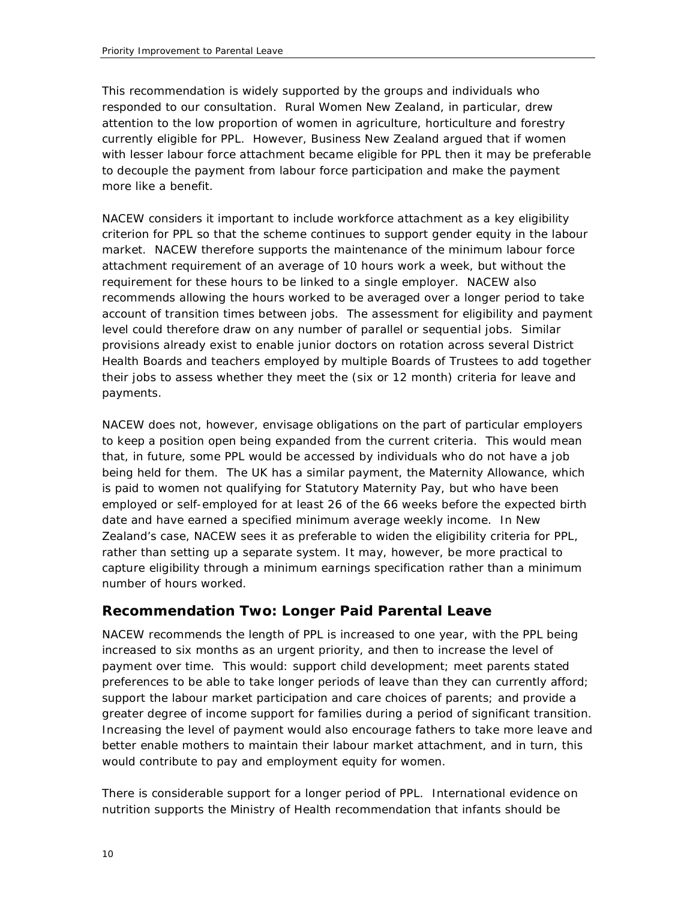This recommendation is widely supported by the groups and individuals who responded to our consultation. Rural Women New Zealand, in particular, drew attention to the low proportion of women in agriculture, horticulture and forestry currently eligible for PPL. However, Business New Zealand argued that if women with lesser labour force attachment became eligible for PPL then it may be preferable to decouple the payment from labour force participation and make the payment more like a benefit.

NACEW considers it important to include workforce attachment as a key eligibility criterion for PPL so that the scheme continues to support gender equity in the labour market. NACEW therefore supports the maintenance of the minimum labour force attachment requirement of an average of 10 hours work a week, but without the requirement for these hours to be linked to a single employer. NACEW also recommends allowing the hours worked to be averaged over a longer period to take account of transition times between jobs. The assessment for eligibility and payment level could therefore draw on any number of parallel or sequential jobs. Similar provisions already exist to enable junior doctors on rotation across several District Health Boards and teachers employed by multiple Boards of Trustees to add together their jobs to assess whether they meet the (six or 12 month) criteria for leave and payments.

NACEW does not, however, envisage obligations on the part of particular employers to keep a position open being expanded from the current criteria. This would mean that, in future, some PPL would be accessed by individuals who do not have a job being held for them. The UK has a similar payment, the Maternity Allowance, which is paid to women not qualifying for Statutory Maternity Pay, but who have been employed or self-employed for at least 26 of the 66 weeks before the expected birth date and have earned a specified minimum average weekly income. In New Zealand's case, NACEW sees it as preferable to widen the eligibility criteria for PPL, rather than setting up a separate system. It may, however, be more practical to capture eligibility through a minimum earnings specification rather than a minimum number of hours worked.

### **Recommendation Two: Longer Paid Parental Leave**

NACEW recommends the length of PPL is increased to one year, with the PPL being increased to six months as an urgent priority, and then to increase the level of payment over time. This would: support child development; meet parents stated preferences to be able to take longer periods of leave than they can currently afford; support the labour market participation and care choices of parents; and provide a greater degree of income support for families during a period of significant transition. Increasing the level of payment would also encourage fathers to take more leave and better enable mothers to maintain their labour market attachment, and in turn, this would contribute to pay and employment equity for women.

There is considerable support for a longer period of PPL. International evidence on nutrition supports the Ministry of Health recommendation that infants should be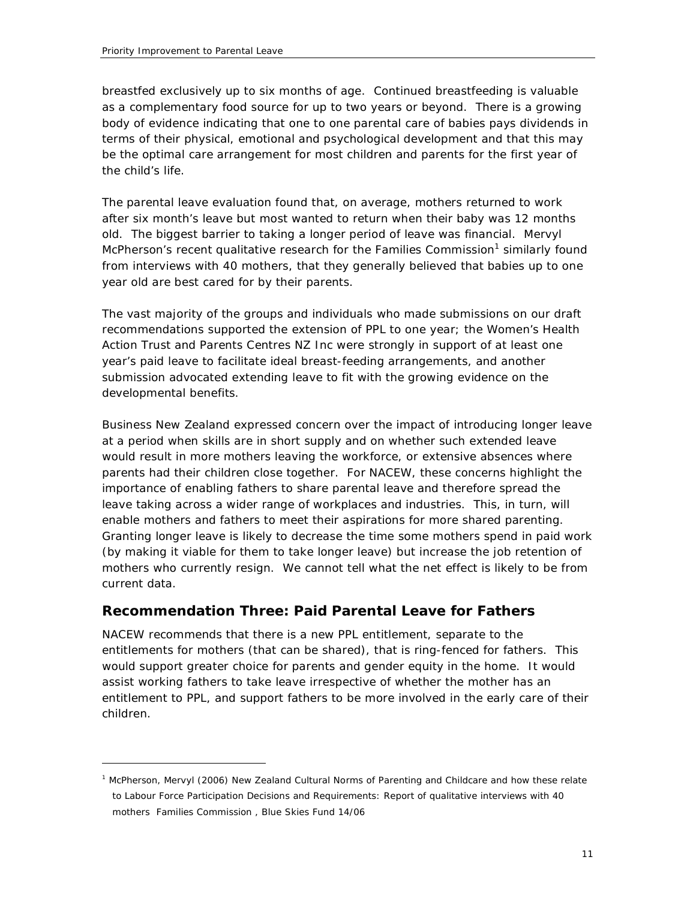$\overline{a}$ 

breastfed exclusively up to six months of age. Continued breastfeeding is valuable as a complementary food source for up to two years or beyond. There is a growing body of evidence indicating that one to one parental care of babies pays dividends in terms of their physical, emotional and psychological development and that this may be the optimal care arrangement for most children and parents for the first year of the child's life.

The parental leave evaluation found that, on average, mothers returned to work after six month's leave but most wanted to return when their baby was 12 months old. The biggest barrier to taking a longer period of leave was financial. Mervyl McPherson's recent qualitative research for the Families Commission<sup>1</sup> similarly found from interviews with 40 mothers, that they generally believed that babies up to one year old are best cared for by their parents.

The vast majority of the groups and individuals who made submissions on our draft recommendations supported the extension of PPL to one year; the Women's Health Action Trust and Parents Centres NZ Inc were strongly in support of at least one year's paid leave to facilitate ideal breast-feeding arrangements, and another submission advocated extending leave to fit with the growing evidence on the developmental benefits.

Business New Zealand expressed concern over the impact of introducing longer leave at a period when skills are in short supply and on whether such extended leave would result in more mothers leaving the workforce, or extensive absences where parents had their children close together. For NACEW, these concerns highlight the importance of enabling fathers to share parental leave and therefore spread the leave taking across a wider range of workplaces and industries. This, in turn, will enable mothers and fathers to meet their aspirations for more shared parenting. Granting longer leave is likely to decrease the time some mothers spend in paid work (by making it viable for them to take longer leave) but increase the job retention of mothers who currently resign. We cannot tell what the net effect is likely to be from current data.

### **Recommendation Three: Paid Parental Leave for Fathers**

NACEW recommends that there is a new PPL entitlement, separate to the entitlements for mothers (that can be shared), that is ring-fenced for fathers. This would support greater choice for parents and gender equity in the home. It would assist working fathers to take leave irrespective of whether the mother has an entitlement to PPL, and support fathers to be more involved in the early care of their children.

<sup>&</sup>lt;sup>1</sup> McPherson, Mervyl (2006) New Zealand Cultural Norms of Parenting and Childcare and how these relate to Labour Force Participation Decisions and Requirements: Report of qualitative interviews with 40 mothers Families Commission , Blue Skies Fund 14/06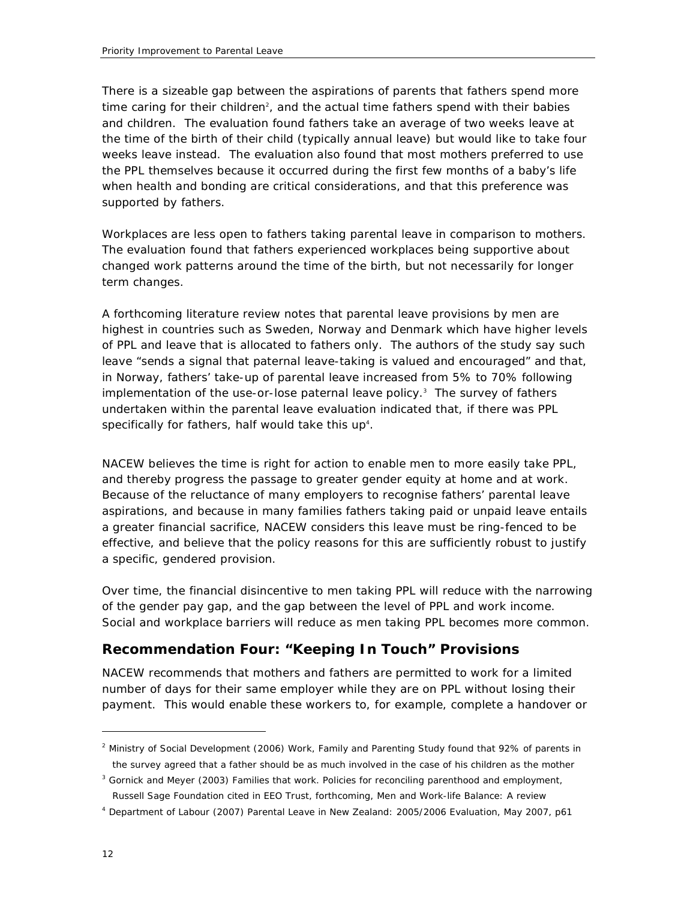There is a sizeable gap between the aspirations of parents that fathers spend more time caring for their children<sup>2</sup>, and the actual time fathers spend with their babies and children. The evaluation found fathers take an average of two weeks leave at the time of the birth of their child (typically annual leave) but would like to take four weeks leave instead. The evaluation also found that most mothers preferred to use the PPL themselves because it occurred during the first few months of a baby's life when health and bonding are critical considerations, and that this preference was supported by fathers.

Workplaces are less open to fathers taking parental leave in comparison to mothers. The evaluation found that fathers experienced workplaces being supportive about changed work patterns around the time of the birth, but not necessarily for longer term changes.

A forthcoming literature review notes that parental leave provisions by men are highest in countries such as Sweden, Norway and Denmark which have higher levels of PPL and leave that is allocated to fathers only. The authors of the study say such leave "sends a signal that paternal leave-taking is valued and encouraged" and that, in Norway, fathers' take-up of parental leave increased from 5% to 70% following implementation of the use-or-lose paternal leave policy.<sup>3</sup> The survey of fathers undertaken within the parental leave evaluation indicated that, if there was PPL specifically for fathers, half would take this up<sup>4</sup>.

NACEW believes the time is right for action to enable men to more easily take PPL, and thereby progress the passage to greater gender equity at home and at work. Because of the reluctance of many employers to recognise fathers' parental leave aspirations, and because in many families fathers taking paid or unpaid leave entails a greater financial sacrifice, NACEW considers this leave must be ring-fenced to be effective, and believe that the policy reasons for this are sufficiently robust to justify a specific, gendered provision.

Over time, the financial disincentive to men taking PPL will reduce with the narrowing of the gender pay gap, and the gap between the level of PPL and work income. Social and workplace barriers will reduce as men taking PPL becomes more common.

### **Recommendation Four: "Keeping In Touch" Provisions**

NACEW recommends that mothers and fathers are permitted to work for a limited number of days for their same employer while they are on PPL without losing their payment. This would enable these workers to, for example, complete a handover or

 $\overline{a}$ 

<sup>2</sup> Ministry of Social Development (2006) *Work, Family and Parenting Study* found that 92% of parents in the survey agreed that a father should be as much involved in the case of his children as the mother

<sup>3</sup> Gornick and Meyer (2003) *Families that work. Policies for reconciling parenthood and employment,*  Russell Sage Foundation cited in EEO Trust, forthcoming, *Men and Work-life Balance: A review*

<sup>4</sup> Department of Labour (2007) *Parental Leave in New Zealand: 2005/2006 Evaluation,* May 2007, p61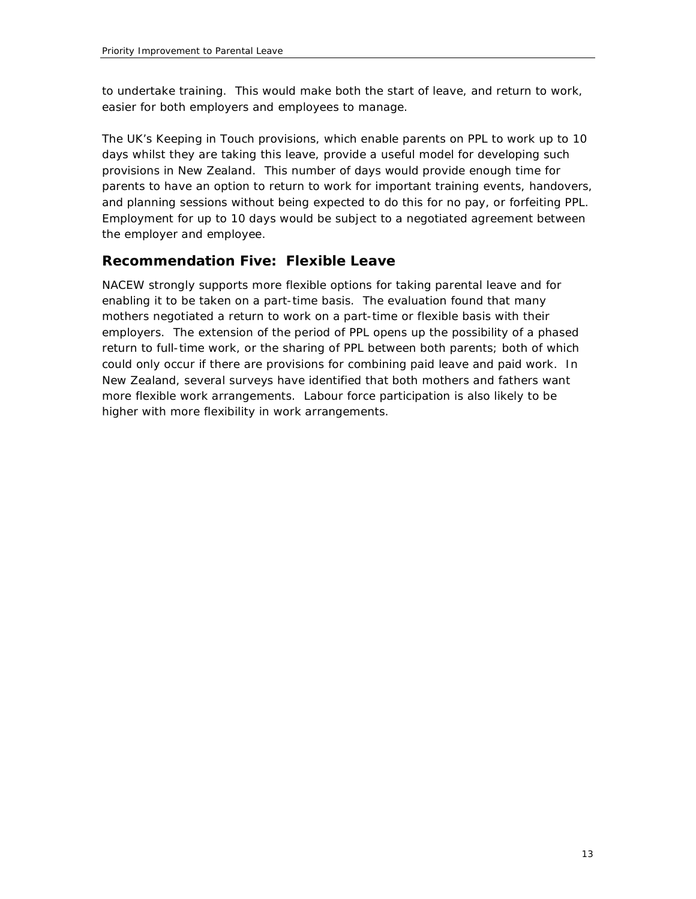to undertake training. This would make both the start of leave, and return to work, easier for both employers and employees to manage.

The UK's *Keeping in Touch* provisions, which enable parents on PPL to work up to 10 days whilst they are taking this leave, provide a useful model for developing such provisions in New Zealand. This number of days would provide enough time for parents to have an option to return to work for important training events, handovers, and planning sessions without being expected to do this for no pay, or forfeiting PPL. Employment for up to 10 days would be subject to a negotiated agreement between the employer and employee.

### **Recommendation Five: Flexible Leave**

NACEW strongly supports more flexible options for taking parental leave and for enabling it to be taken on a part-time basis. The evaluation found that many mothers negotiated a return to work on a part-time or flexible basis with their employers. The extension of the period of PPL opens up the possibility of a phased return to full-time work, or the sharing of PPL between both parents; both of which could only occur if there are provisions for combining paid leave and paid work. In New Zealand, several surveys have identified that both mothers and fathers want more flexible work arrangements. Labour force participation is also likely to be higher with more flexibility in work arrangements.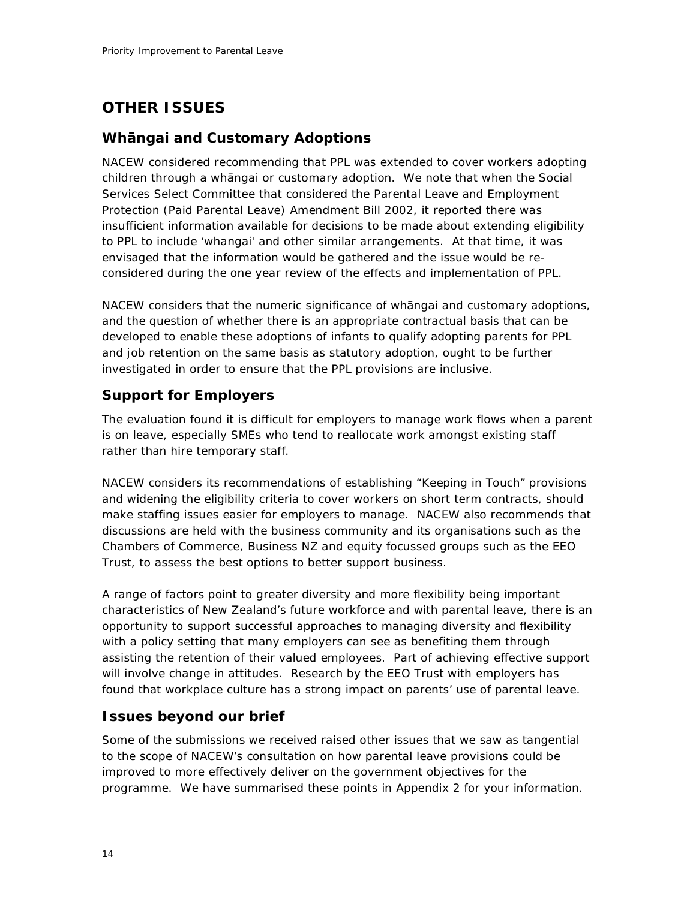# **OTHER ISSUES**

### **Whngai and Customary Adoptions**

NACEW considered recommending that PPL was extended to cover workers adopting children through a whangai or customary adoption. We note that when the Social Services Select Committee that considered the Parental Leave and Employment Protection (Paid Parental Leave) Amendment Bill 2002, it reported there was insufficient information available for decisions to be made about extending eligibility to PPL to include 'whangai' and other similar arrangements. At that time, it was envisaged that the information would be gathered and the issue would be reconsidered during the one year review of the effects and implementation of PPL.

NACEW considers that the numeric significance of whangai and customary adoptions, and the question of whether there is an appropriate contractual basis that can be developed to enable these adoptions of infants to qualify adopting parents for PPL and job retention on the same basis as statutory adoption, ought to be further investigated in order to ensure that the PPL provisions are inclusive.

### **Support for Employers**

The evaluation found it is difficult for employers to manage work flows when a parent is on leave, especially SMEs who tend to reallocate work amongst existing staff rather than hire temporary staff.

NACEW considers its recommendations of establishing "Keeping in Touch" provisions and widening the eligibility criteria to cover workers on short term contracts, should make staffing issues easier for employers to manage. NACEW also recommends that discussions are held with the business community and its organisations such as the Chambers of Commerce, Business NZ and equity focussed groups such as the EEO Trust, to assess the best options to better support business.

A range of factors point to greater diversity and more flexibility being important characteristics of New Zealand's future workforce and with parental leave, there is an opportunity to support successful approaches to managing diversity and flexibility with a policy setting that many employers can see as benefiting them through assisting the retention of their valued employees. Part of achieving effective support will involve change in attitudes. Research by the EEO Trust with employers has found that workplace culture has a strong impact on parents' use of parental leave.

### **Issues beyond our brief**

Some of the submissions we received raised other issues that we saw as tangential to the scope of NACEW's consultation on how parental leave provisions could be improved to more effectively deliver on the government objectives for the programme. We have summarised these points in Appendix 2 for your information.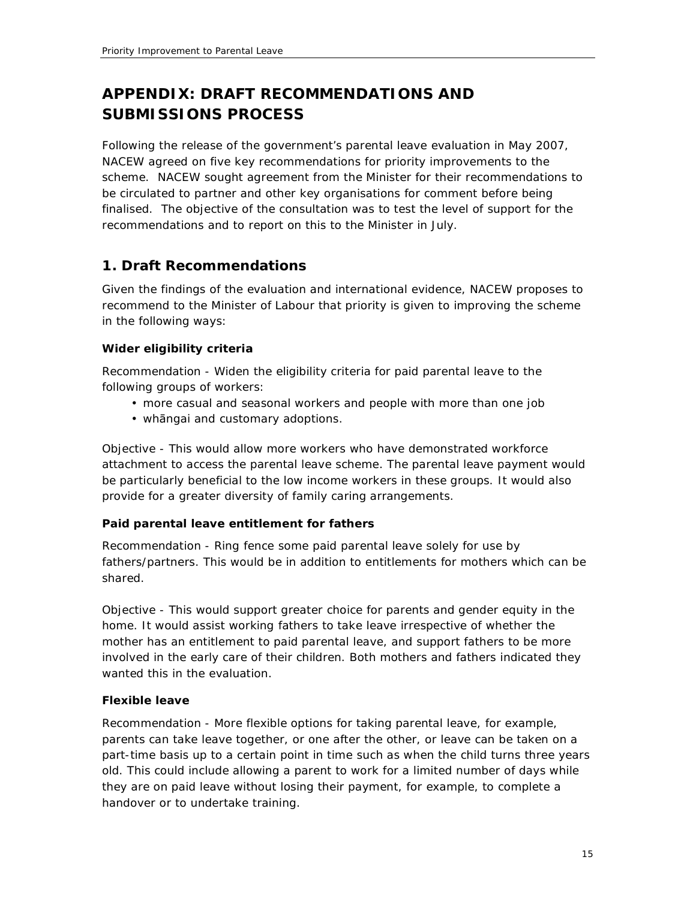# **APPENDIX: DRAFT RECOMMENDATIONS AND SUBMISSIONS PROCESS**

Following the release of the government's parental leave evaluation in May 2007, NACEW agreed on five key recommendations for priority improvements to the scheme. NACEW sought agreement from the Minister for their recommendations to be circulated to partner and other key organisations for comment before being finalised. The objective of the consultation was to test the level of support for the recommendations and to report on this to the Minister in July.

### **1. Draft Recommendations**

Given the findings of the evaluation and international evidence, NACEW proposes to recommend to the Minister of Labour that priority is given to improving the scheme in the following ways:

#### *Wider eligibility criteria*

Recommendation - Widen the eligibility criteria for paid parental leave to the following groups of workers:

- more casual and seasonal workers and people with more than one job
- whangai and customary adoptions.

*Objective* - This would allow more workers who have demonstrated workforce attachment to access the parental leave scheme. The parental leave payment would be particularly beneficial to the low income workers in these groups. It would also provide for a greater diversity of family caring arrangements.

#### *Paid parental leave entitlement for fathers*

*Recommendation* - Ring fence some paid parental leave solely for use by fathers/partners. This would be in addition to entitlements for mothers which can be shared.

*Objective* - This would support greater choice for parents and gender equity in the home. It would assist working fathers to take leave irrespective of whether the mother has an entitlement to paid parental leave, and support fathers to be more involved in the early care of their children. Both mothers and fathers indicated they wanted this in the evaluation.

#### *Flexible leave*

*Recommendation* - More flexible options for taking parental leave, for example, parents can take leave together, or one after the other, or leave can be taken on a part-time basis up to a certain point in time such as when the child turns three years old. This could include allowing a parent to work for a limited number of days while they are on paid leave without losing their payment, for example, to complete a handover or to undertake training.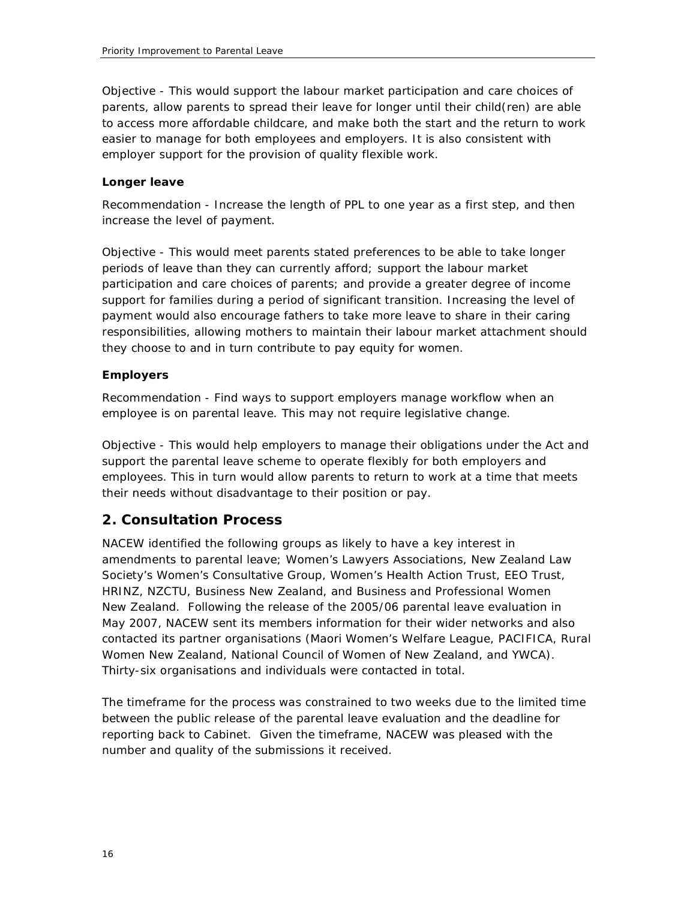*Objective* - This would support the labour market participation and care choices of parents, allow parents to spread their leave for longer until their child(ren) are able to access more affordable childcare, and make both the start and the return to work easier to manage for both employees and employers. It is also consistent with employer support for the provision of quality flexible work.

#### *Longer leave*

*Recommendation* - Increase the length of PPL to one year as a first step, and then increase the level of payment.

*Objective* - This would meet parents stated preferences to be able to take longer periods of leave than they can currently afford; support the labour market participation and care choices of parents; and provide a greater degree of income support for families during a period of significant transition. Increasing the level of payment would also encourage fathers to take more leave to share in their caring responsibilities, allowing mothers to maintain their labour market attachment should they choose to and in turn contribute to pay equity for women.

#### *Employers*

*Recommendation* - Find ways to support employers manage workflow when an employee is on parental leave. This may not require legislative change.

*Objective* - This would help employers to manage their obligations under the Act and support the parental leave scheme to operate flexibly for both employers and employees. This in turn would allow parents to return to work at a time that meets their needs without disadvantage to their position or pay.

#### **2. Consultation Process**

NACEW identified the following groups as likely to have a key interest in amendments to parental leave; Women's Lawyers Associations, New Zealand Law Society's Women's Consultative Group, Women's Health Action Trust, EEO Trust, HRINZ, NZCTU, Business New Zealand, and Business and Professional Women New Zealand. Following the release of the 2005/06 parental leave evaluation in May 2007, NACEW sent its members information for their wider networks and also contacted its partner organisations (Maori Women's Welfare League, PACIFICA, Rural Women New Zealand, National Council of Women of New Zealand, and YWCA). Thirty-six organisations and individuals were contacted in total.

The timeframe for the process was constrained to two weeks due to the limited time between the public release of the parental leave evaluation and the deadline for reporting back to Cabinet. Given the timeframe, NACEW was pleased with the number and quality of the submissions it received.